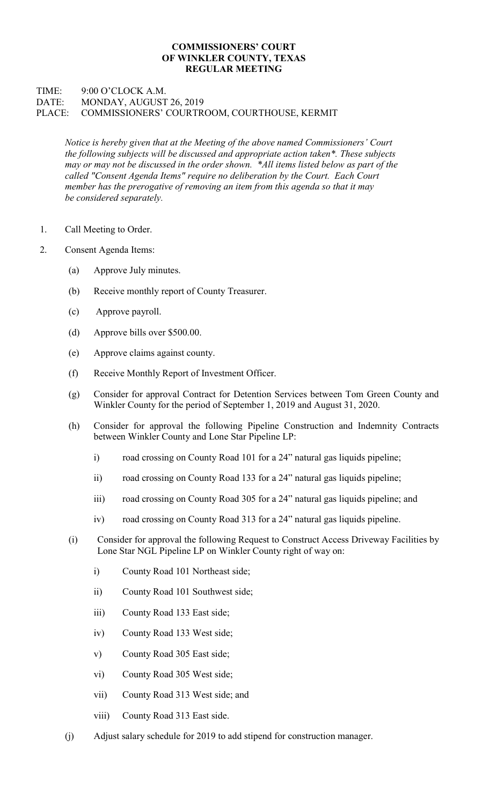## COMMISSIONERS' COURT OF WINKLER COUNTY, TEXAS REGULAR MEETING

## TIME: 9:00 O'CLOCK A.M. DATE: MONDAY, AUGUST 26, 2019 PLACE: COMMISSIONERS' COURTROOM, COURTHOUSE, KERMIT

Notice is hereby given that at the Meeting of the above named Commissioners' Court the following subjects will be discussed and appropriate action taken\*. These subjects may or may not be discussed in the order shown. \*All items listed below as part of the called "Consent Agenda Items" require no deliberation by the Court. Each Court member has the prerogative of removing an item from this agenda so that it may be considered separately.

- 1. Call Meeting to Order.
- 2. Consent Agenda Items:
	- (a) Approve July minutes.
	- (b) Receive monthly report of County Treasurer.
	- (c) Approve payroll.
	- (d) Approve bills over \$500.00.
	- (e) Approve claims against county.
	- (f) Receive Monthly Report of Investment Officer.
	- (g) Consider for approval Contract for Detention Services between Tom Green County and Winkler County for the period of September 1, 2019 and August 31, 2020.
	- (h) Consider for approval the following Pipeline Construction and Indemnity Contracts between Winkler County and Lone Star Pipeline LP:
		- i) road crossing on County Road 101 for a 24" natural gas liquids pipeline;
		- ii) road crossing on County Road 133 for a 24" natural gas liquids pipeline;
		- iii) road crossing on County Road 305 for a 24" natural gas liquids pipeline; and
		- iv) road crossing on County Road 313 for a 24" natural gas liquids pipeline.
	- (i) Consider for approval the following Request to Construct Access Driveway Facilities by Lone Star NGL Pipeline LP on Winkler County right of way on:
		- i) County Road 101 Northeast side;
		- ii) County Road 101 Southwest side;
		- iii) County Road 133 East side;
		- iv) County Road 133 West side;
		- v) County Road 305 East side;
		- vi) County Road 305 West side;
		- vii) County Road 313 West side; and
		- viii) County Road 313 East side.
	- (j) Adjust salary schedule for 2019 to add stipend for construction manager.